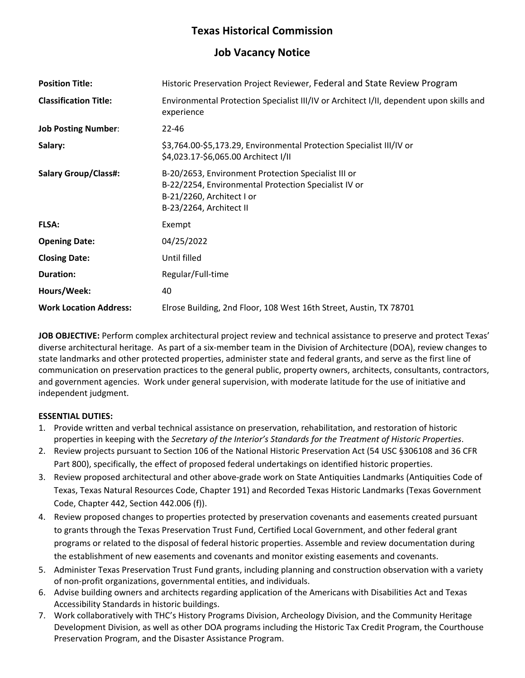# **Texas Historical Commission**

## **Job Vacancy Notice**

| <b>Position Title:</b>        | Historic Preservation Project Reviewer, Federal and State Review Program                                                                                            |
|-------------------------------|---------------------------------------------------------------------------------------------------------------------------------------------------------------------|
| <b>Classification Title:</b>  | Environmental Protection Specialist III/IV or Architect I/II, dependent upon skills and<br>experience                                                               |
| <b>Job Posting Number:</b>    | $22 - 46$                                                                                                                                                           |
| Salary:                       | \$3,764.00-\$5,173.29, Environmental Protection Specialist III/IV or<br>\$4,023.17-\$6,065.00 Architect I/II                                                        |
| <b>Salary Group/Class#:</b>   | B-20/2653, Environment Protection Specialist III or<br>B-22/2254, Environmental Protection Specialist IV or<br>B-21/2260, Architect I or<br>B-23/2264, Architect II |
| <b>FLSA:</b>                  | Exempt                                                                                                                                                              |
| <b>Opening Date:</b>          | 04/25/2022                                                                                                                                                          |
| <b>Closing Date:</b>          | Until filled                                                                                                                                                        |
| <b>Duration:</b>              | Regular/Full-time                                                                                                                                                   |
| Hours/Week:                   | 40                                                                                                                                                                  |
| <b>Work Location Address:</b> | Elrose Building, 2nd Floor, 108 West 16th Street, Austin, TX 78701                                                                                                  |

**JOB OBJECTIVE:** Perform complex architectural project review and technical assistance to preserve and protect Texas' diverse architectural heritage. As part of a six-member team in the Division of Architecture (DOA), review changes to state landmarks and other protected properties, administer state and federal grants, and serve as the first line of communication on preservation practices to the general public, property owners, architects, consultants, contractors, and government agencies. Work under general supervision, with moderate latitude for the use of initiative and independent judgment.

### **ESSENTIAL DUTIES:**

- 1. Provide written and verbal technical assistance on preservation, rehabilitation, and restoration of historic properties in keeping with the *Secretary of the Interior's Standards for the Treatment of Historic Properties*.
- 2. Review projects pursuant to Section 106 of the National Historic Preservation Act (54 USC §306108 and 36 CFR Part 800), specifically, the effect of proposed federal undertakings on identified historic properties.
- 3. Review proposed architectural and other above-grade work on State Antiquities Landmarks (Antiquities Code of Texas, Texas Natural Resources Code, Chapter 191) and Recorded Texas Historic Landmarks (Texas Government Code, Chapter 442, Section 442.006 (f)).
- 4. Review proposed changes to properties protected by preservation covenants and easements created pursuant to grants through the Texas Preservation Trust Fund, Certified Local Government, and other federal grant programs or related to the disposal of federal historic properties. Assemble and review documentation during the establishment of new easements and covenants and monitor existing easements and covenants.
- 5. Administer Texas Preservation Trust Fund grants, including planning and construction observation with a variety of non-profit organizations, governmental entities, and individuals.
- 6. Advise building owners and architects regarding application of the Americans with Disabilities Act and Texas Accessibility Standards in historic buildings.
- 7. Work collaboratively with THC's History Programs Division, Archeology Division, and the Community Heritage Development Division, as well as other DOA programs including the Historic Tax Credit Program, the Courthouse Preservation Program, and the Disaster Assistance Program.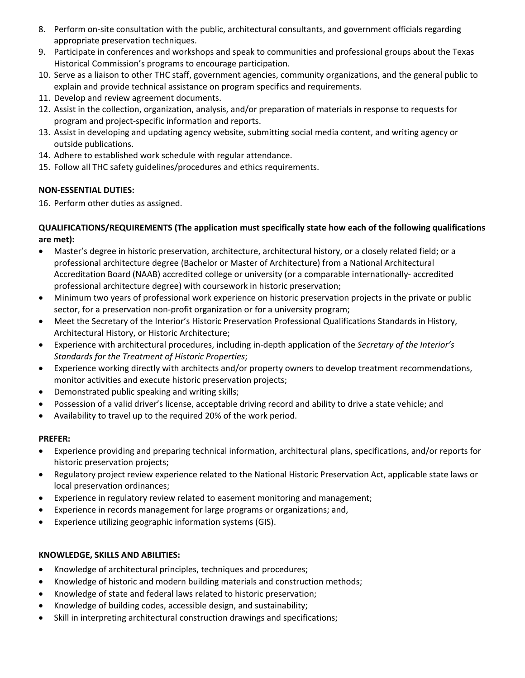- 8. Perform on-site consultation with the public, architectural consultants, and government officials regarding appropriate preservation techniques.
- 9. Participate in conferences and workshops and speak to communities and professional groups about the Texas Historical Commission's programs to encourage participation.
- 10. Serve as a liaison to other THC staff, government agencies, community organizations, and the general public to explain and provide technical assistance on program specifics and requirements.
- 11. Develop and review agreement documents.
- 12. Assist in the collection, organization, analysis, and/or preparation of materials in response to requests for program and project-specific information and reports.
- 13. Assist in developing and updating agency website, submitting social media content, and writing agency or outside publications.
- 14. Adhere to established work schedule with regular attendance.
- 15. Follow all THC safety guidelines/procedures and ethics requirements.

### **NON-ESSENTIAL DUTIES:**

16. Perform other duties as assigned.

### **QUALIFICATIONS/REQUIREMENTS (The application must specifically state how each of the following qualifications are met):**

- Master's degree in historic preservation, architecture, architectural history, or a closely related field; or a professional architecture degree (Bachelor or Master of Architecture) from a National Architectural Accreditation Board (NAAB) accredited college or university (or a comparable internationally- accredited professional architecture degree) with coursework in historic preservation;
- Minimum two years of professional work experience on historic preservation projects in the private or public sector, for a preservation non-profit organization or for a university program;
- Meet the Secretary of the Interior's Historic Preservation Professional Qualifications Standards in History, Architectural History, or Historic Architecture;
- Experience with architectural procedures, including in-depth application of the *Secretary of the Interior's Standards for the Treatment of Historic Properties*;
- Experience working directly with architects and/or property owners to develop treatment recommendations, monitor activities and execute historic preservation projects;
- Demonstrated public speaking and writing skills;
- Possession of a valid driver's license, acceptable driving record and ability to drive a state vehicle; and
- Availability to travel up to the required 20% of the work period.

### **PREFER:**

- Experience providing and preparing technical information, architectural plans, specifications, and/or reports for historic preservation projects;
- Regulatory project review experience related to the National Historic Preservation Act, applicable state laws or local preservation ordinances;
- Experience in regulatory review related to easement monitoring and management;
- Experience in records management for large programs or organizations; and,
- Experience utilizing geographic information systems (GIS).

### **KNOWLEDGE, SKILLS AND ABILITIES:**

- Knowledge of architectural principles, techniques and procedures;
- Knowledge of historic and modern building materials and construction methods;
- Knowledge of state and federal laws related to historic preservation;
- Knowledge of building codes, accessible design, and sustainability;
- Skill in interpreting architectural construction drawings and specifications;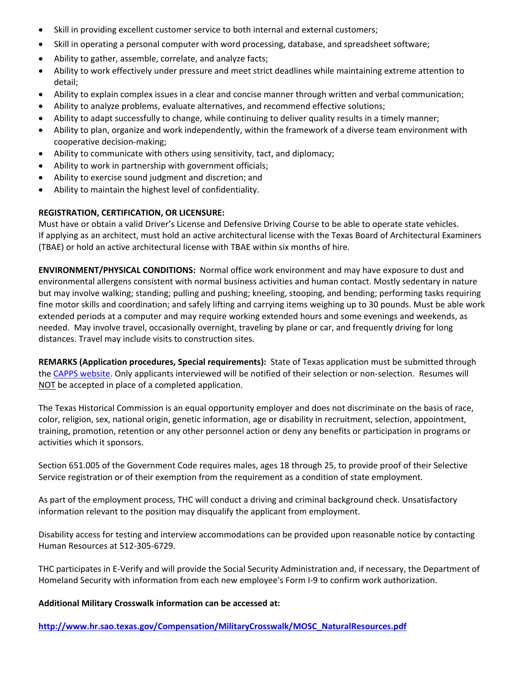- Skill in providing excellent customer service to both internal and external customers;
- Skill in operating a personal computer with word processing, database, and spreadsheet software;
- Ability to gather, assemble, correlate, and analyze facts;
- Ability to work effectively under pressure and meet strict deadlines while maintaining extreme attention to detail;
- Ability to explain complex issues in a clear and concise manner through written and verbal communication;
- Ability to analyze problems, evaluate alternatives, and recommend effective solutions;
- Ability to adapt successfully to change, while continuing to deliver quality results in a timely manner;
- Ability to plan, organize and work independently, within the framework of a diverse team environment with cooperative decision-making;
- Ability to communicate with others using sensitivity, tact, and diplomacy;
- Ability to work in partnership with government officials;
- Ability to exercise sound judgment and discretion; and
- Ability to maintain the highest level of confidentiality.

### **REGISTRATION, CERTIFICATION, OR LICENSURE:**

Must have or obtain a valid Driver's License and Defensive Driving Course to be able to operate state vehicles. If applying as an architect, must hold an active architectural license with the Texas Board of Architectural Examiners (TBAE) or hold an active architectural license with TBAE within six months of hire.

**ENVIRONMENT/PHYSICAL CONDITIONS:** Normal office work environment and may have exposure to dust and environmental allergens consistent with normal business activities and human contact. Mostly sedentary in nature but may involve walking; standing; pulling and pushing; kneeling, stooping, and bending; performing tasks requiring fine motor skills and coordination; and safely lifting and carrying items weighing up to 30 pounds. Must be able work extended periods at a computer and may require working extended hours and some evenings and weekends, as needed. May involve travel, occasionally overnight, traveling by plane or car, and frequently driving for long distances. Travel may include visits to construction sites.

**REMARKS (Application procedures, Special requirements):** State of Texas application must be submitted through the [CAPPS website.](https://capps.taleo.net/careersection/808/jobsearch.ftl?lang=en) Only applicants interviewed will be notified of their selection or non-selection. Resumes will NOT be accepted in place of a completed application.

The Texas Historical Commission is an equal opportunity employer and does not discriminate on the basis of race, color, religion, sex, national origin, genetic information, age or disability in recruitment, selection, appointment, training, promotion, retention or any other personnel action or deny any benefits or participation in programs or activities which it sponsors.

Section 651.005 of the Government Code requires males, ages 18 through 25, to provide proof of their Selective Service registration or of their exemption from the requirement as a condition of state employment.

As part of the employment process, THC will conduct a driving and criminal background check. Unsatisfactory information relevant to the position may disqualify the applicant from employment.

Disability access for testing and interview accommodations can be provided upon reasonable notice by contacting Human Resources at 512-305-6729.

THC participates in E-Verify and will provide the Social Security Administration and, if necessary, the Department of Homeland Security with information from each new employee's Form I-9 to confirm work authorization.

**Additional Military Crosswalk information can be accessed at:**

**[http://www.hr.sao.texas.gov/Compensation/MilitaryCrosswalk/MOSC\\_NaturalResources.pdf](http://www.hr.sao.texas.gov/Compensation/MilitaryCrosswalk/MOSC_NaturalResources.pdf)**